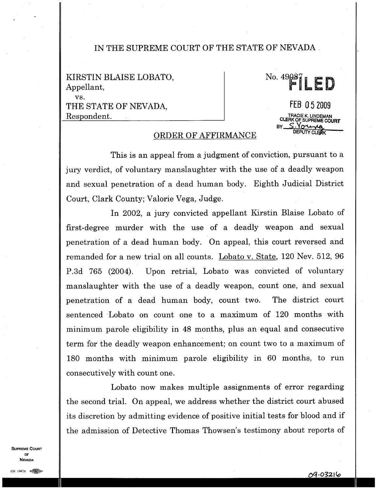## **IN THE SUPREME** COURT OF **THE STATE** OF NEVADA .

KIRSTIN BLAISE LOBATO, Appellant, vs. THE STATE OF NEVADA, Respondent.

## No. 49 SL **ED** FEB 0 5 2009 **CLERK OF SUPREME COURT**<br> **BY SIGNAL SEXTLE COURT CHE AL LINDEMAN<br>CF SUPREME COURT**<br>CL CL CL CL AR

## ORDER OF AFFIRMANCE

This is an appeal from a judgment of conviction, pursuant to a jury verdict, of voluntary manslaughter with the use of a deadly weapon and sexual penetration of a dead human body. Eighth Judicial District Court, Clark County; Valorie Vega, Judge.

In 2002, a jury convicted appellant Kirstin Blaise Lobato of first-degree murder with the use of a deadly weapon and sexual penetration of a dead human body. On appeal, this court reversed and remanded for a new trial on all counts. Lobato v. State, 120 Nev. 512, 96 P.3d 765 (2004). Upon retrial, Lobato was convicted of voluntary manslaughter with the use of a deadly weapon, count one, and sexual penetration of a dead human body, count two. The district court sentenced Lobato on count one to a maximum of 120 months with minimum parole eligibility in 48 months, plus an equal and consecutive term for the deadly weapon enhancement; on count two to a maximum of 180 months with minimum parole eligibility in 60 months, to run consecutively with count one.

Lobato now makes multiple assignments of error regarding the second trial. On appeal, we address whether the district court abused its discretion by admitting evidence of positive initial tests for blood and if the admission of Detective Thomas Thowsen's testimony about reports of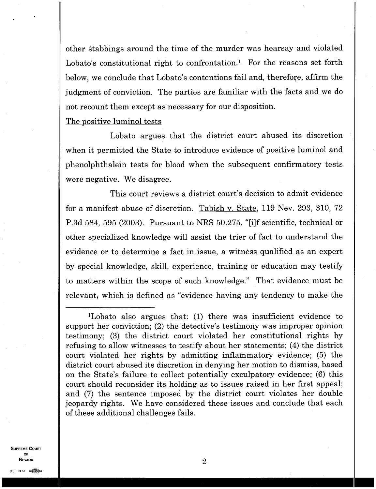other stabbings around the time of the murder was hearsay and violated Lobato's constitutional right to confrontation.<sup>1</sup> For the reasons set forth below, we conclude that Lobato's contentions fail and, therefore, affirm the judgment of conviction. The parties are familiar with the facts and we do not recount them except as necessary for our disposition.

## The positive luminol tests

Lobato argues that the district court abused its discretion when it permitted the State to introduce evidence of positive luminol and phenolphthalein tests for blood when the subsequent confirmatory tests were negative. We disagree.

This court reviews a district court's decision to admit evidence for a manifest abuse of discretion. Tabish v. State, 119 Nev. 293, 310, 72 P.3d 584, 595 (2003). Pursuant to NRS 50.275, " [i]f scientific, technical or other specialized knowledge will assist the trier of fact to understand the evidence or to determine a fact in issue, a witness qualified as an expert by special knowledge, skill, experience, training or education may testify to matters within the scope of such knowledge." That evidence must be relevant, which is defined as "evidence having any tendency to make the

'Lobato also argues that: (1) there was insufficient evidence to support her conviction; (2) the detective's testimony was improper opinion testimony; (3) the district court violated her constitutional rights by refusing to allow witnesses to testify about her statements; (4) the district court violated her rights by admitting inflammatory evidence; (5) the district court abused its discretion in denying her motion to dismiss, based on the State's failure to collect potentially exculpatory evidence; (6) this court should reconsider its holding as to issues raised in her first appeal; and (7) the sentence imposed by the district court violates her double jeopardy rights. We have considered these issues and conclude that each of these additional challenges fails.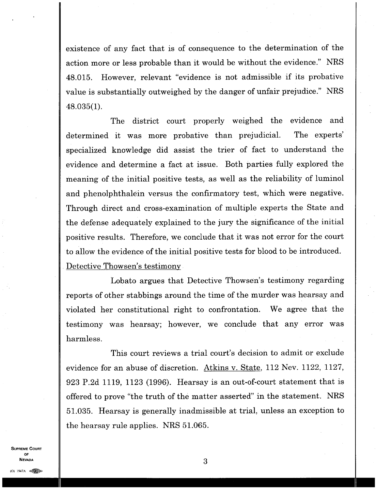existence of any fact that is of consequence to the determination of the action more or less probable than it would be without the evidence." NRS 48.015. However, relevant "evidence is not admissible if its probative value is substantially outweighed by the danger of unfair prejudice." NRS 48.035(1).

The district court properly weighed the evidence and determined it was more probative than prejudicial. The experts' specialized knowledge did assist the trier of fact to understand the evidence and determine a fact at issue. Both parties fully explored the meaning of the initial positive tests, as well as the reliability of luminol and phenolphthalein versus the confirmatory test, which were negative. Through direct and cross-examination of multiple experts the State and the defense adequately explained to the jury the significance of the initial positive results. Therefore, we conclude that it was not error for the court to allow the evidence of the initial positive tests for blood to be introduced. Detective Thowsen's testimony

Lobato argues that Detective Thowsen's testimony regarding reports of other stabbings around the time of the murder was hearsay and violated her constitutional right to confrontation. We agree that the testimony was hearsay; however, we conclude that any error was harmless.

This court reviews a trial court's decision to admit or exclude evidence for an abuse of discretion. Atkins v. State, 112 Nev. 1122, 1127, 923 P.2d 1119, 1123 (1996). Hearsay is an out-of-court statement that is offered to prove "the truth of the matter asserted" in the statement. NRS 51.035. Hearsay is generally inadmissible at trial, unless an exception to the hearsay rule applies. NRS 51.065.

**SUPREME COURT OF NEVADA**

3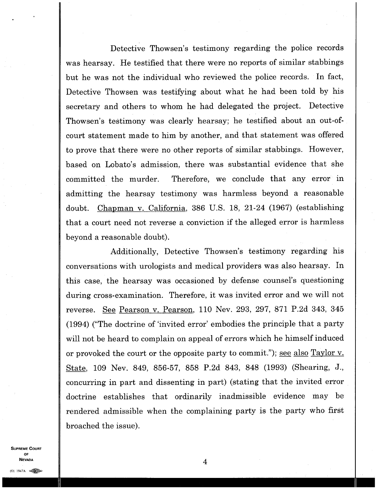Detective Thowsen's testimony regarding the police records was hearsay. He testified that there were no reports of similar stabbings but he was not the individual who reviewed the police records. In fact, Detective Thowsen was testifying about what he had been told by his secretary and others to whom he had delegated the project. Detective Thowsen's testimony was clearly hearsay; he testified about an out-ofcourt statement made to him by another, and that statement was offered to prove that there were no other reports of similar stabbings. However, based on Lobato's admission, there was substantial evidence that she committed the murder. Therefore, we conclude that any error in admitting the hearsay testimony was harmless beyond a reasonable doubt. Chapman v. California, 386 U.S. 18, 21-24 (1967) (establishing that a court need not reverse a conviction if the alleged error is harmless beyond a reasonable doubt).

Additionally, Detective Thowsen's testimony regarding his conversations with urologists and medical providers was also hearsay. In this case, the hearsay was occasioned by defense counsel's questioning during cross-examination. Therefore, it was invited error and we will not reverse. See Pearson v. Pearson, 110 Nev. 293, 297, 871 P.2d 343, 345 (1994) ("The doctrine of `invited error' embodies the principle that a party will not be heard to complain on appeal of errors which he himself induced or provoked the court or the opposite party to commit."); <u>see also Taylor v.</u> State, 109 Nev. 849, 856-57, 858 P.2d 843, 848 (1993) (Shearing, J., concurring in part and dissenting in part) (stating that the invited error doctrine establishes that ordinarily inadmissible evidence may be rendered admissible when the complaining party is the party who first broached the issue).